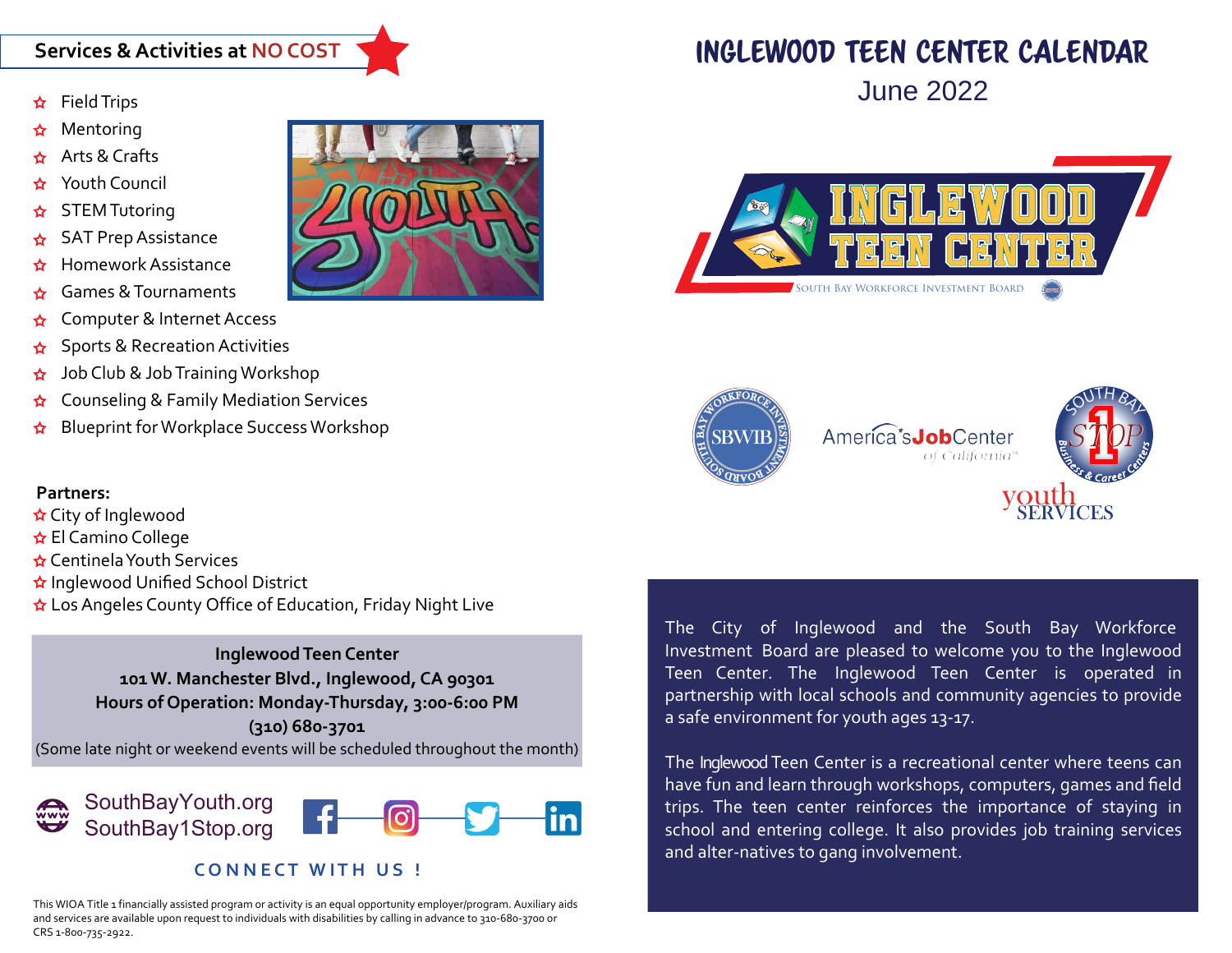### **Services & Activities at NO COST**

- Field Trips
- Mentoring
- Arts & Crafts
- Youth Council
- STEM Tutoring
- SAT Prep Assistance
- Homework Assistance
- Games & Tournaments
- Computer & Internet Access
- Sports & Recreation Activities
- Job Club & Job Training Workshop
- Counseling & Family Mediation Services
- Blueprint for Workplace Success Workshop

#### **Partners:**

- City of Inglewood
- **☆** El Camino College
- Centinela Youth Services
- Inglewood Unified School District
- **☆** Los Angeles County Office of Education, Friday Night Live

**Inglewood Teen Center 101 W. Manchester Blvd., Inglewood, CA 90301 Hours of Operation: Monday-Thursday, 3:00-6:00 PM (310) 680-3701** (Some late night or weekend events will be scheduled throughout the month)



#### **CONNECT WITH US!**

This WIOA Title 1 financially assisted program or activity is an equal opportunity employer/program. Auxiliary aids and services are available upon request to individuals with disabilities by calling in advance to 310-680-3700 or



# inglewood TEEN CENTER CALENDAR





The City of Inglewood and the South Bay Workforce Investment Board are pleased to welcome you to the Inglewood Teen Center. The Inglewood Teen Center is operated in partnership with local schools and community agencies to provide a safe environment for youth ages 13-17.

The Inglewood Teen Center is a recreational center where teens can have fun and learn through workshops, computers, games and field trips. The teen center reinforces the importance of staying in school and entering college. It also provides job training services and alter-natives to gang involvement.